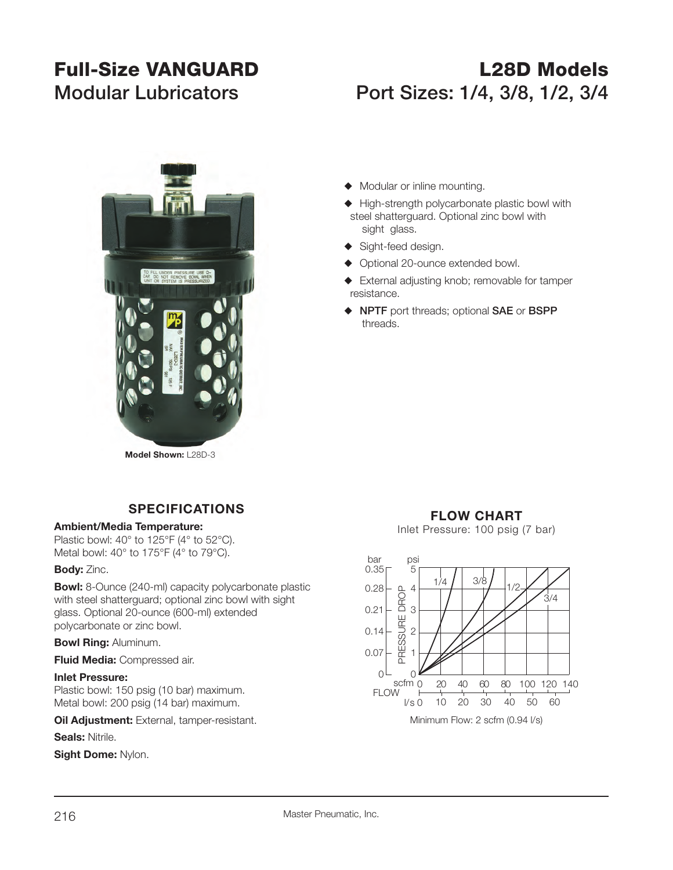# **Full-Size VANGUARD L28D ModelsModular Lubricators Port Sizes: 1/4, 3/8, 1/2, 3/4**



 steel shatterguard. Optional zinc bowl with sight glass.

 $\blacklozenge$  Modular or inline mounting.

- ◆ Sight-feed design.
- ◆ Optional 20-ounce extended bowl.
- $\blacklozenge$  External adjusting knob; removable for tamper resistance.

 $\blacklozenge$  High-strength polycarbonate plastic bowl with

S **NPTF** port threads; optional **SAE** or **BSPP** threads.

**Model Shown:** L28D-3

## **SPECIFICATIONS**

### **Ambient/Media Temperature:**

Plastic bowl: 40° to 125°F (4° to 52°C). Metal bowl: 40° to 175°F (4° to 79°C).

### **Body:** Zinc.

**Bowl:** 8-Ounce (240-ml) capacity polycarbonate plastic with steel shatterguard; optional zinc bowl with sight glass. Optional 20-ounce (600-ml) extended polycarbonate or zinc bowl.

### **Bowl Ring:** Aluminum.

**Fluid Media:** Compressed air.

#### **Inlet Pressure:**

Plastic bowl: 150 psig (10 bar) maximum. Metal bowl: 200 psig (14 bar) maximum.

**Oil Adjustment:** External, tamper-resistant.

### **Seals:** Nitrile.

**Sight Dome:** Nylon.

# **FLOW CHART**

Inlet Pressure: 100 psig (7 bar)

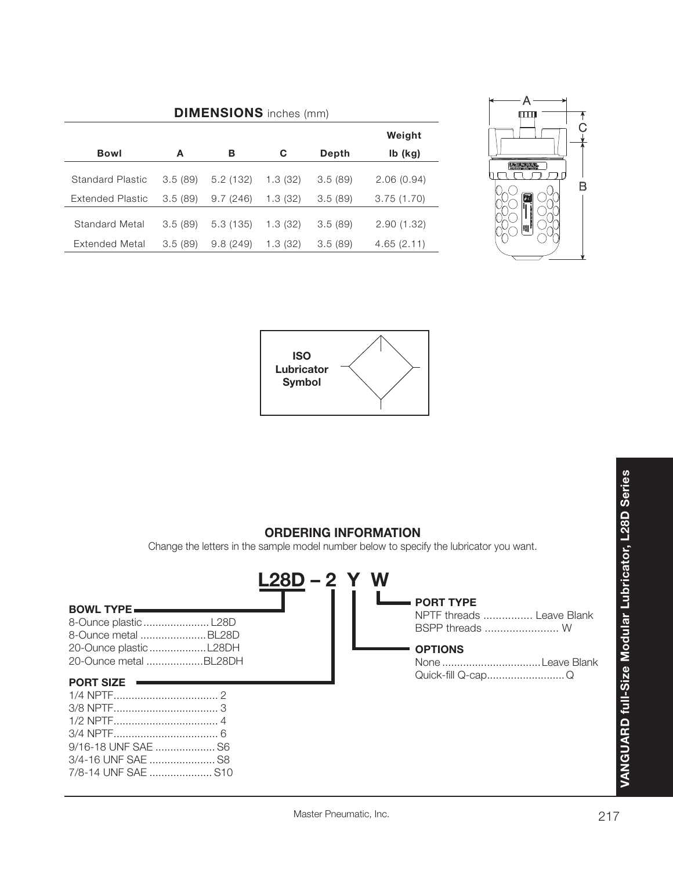| <b>DIMENSIONS</b> inches (mm) |         |          |          |         |            |  |  |  |
|-------------------------------|---------|----------|----------|---------|------------|--|--|--|
|                               |         |          |          |         | Weight     |  |  |  |
| <b>Bowl</b>                   | A       | в        | C        | Depth   | $Ib$ (kg)  |  |  |  |
| Standard Plastic              | 3.5(89) | 5.2(132) | 1.3(32)  | 3.5(89) | 2.06(0.94) |  |  |  |
| Extended Plastic              | 3.5(89) | 9.7(246) | 1.3 (32) | 3.5(89) | 3.75(1.70) |  |  |  |
| Standard Metal                | 3.5(89) | 5.3(135) | 1.3(32)  | 3.5(89) | 2.90(1.32) |  |  |  |
| Extended Metal                | 3.5(89) | 9.8(249) | 1.3 (32) | 3.5(89) | 4.65(2.11) |  |  |  |







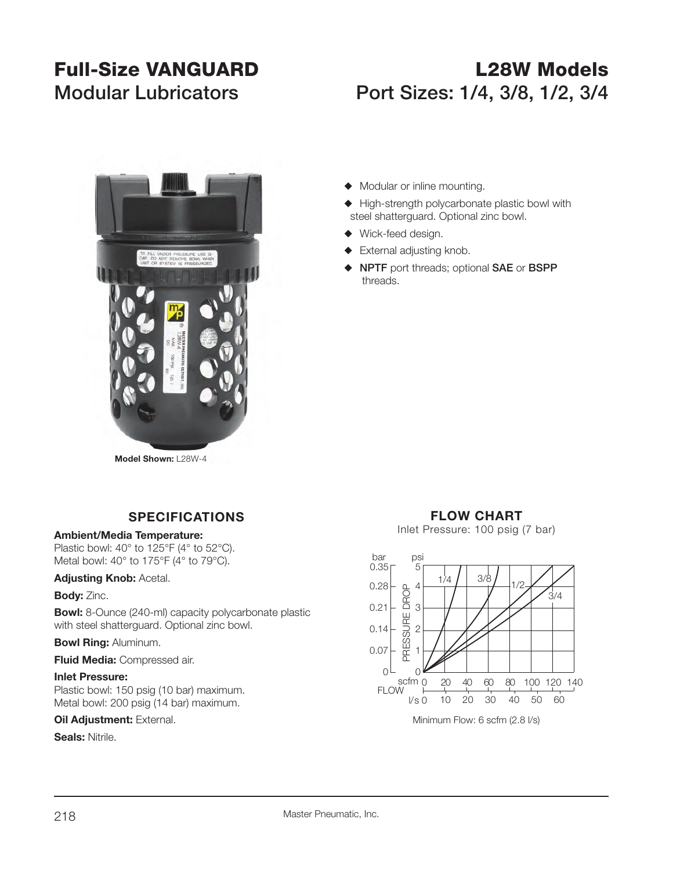# **Full-Size VANGUARD L28W ModelsModular Lubricators Port Sizes: 1/4, 3/8, 1/2, 3/4**



- $\blacklozenge$  Modular or inline mounting.
- $\blacklozenge$  High-strength polycarbonate plastic bowl with steel shatterguard. Optional zinc bowl.
- $\blacklozenge$  Wick-feed design.
- $\blacklozenge$  External adjusting knob.
- S **NPTF** port threads; optional **SAE** or **BSPP**  threads.

### **SPECIFICATIONS**

#### **Ambient/Media Temperature:**

Plastic bowl: 40° to 125°F (4° to 52°C). Metal bowl: 40° to 175°F (4° to 79°C).

#### **Adjusting Knob:** Acetal.

#### **Body:** Zinc.

**Bowl:** 8-Ounce (240-ml) capacity polycarbonate plastic with steel shatterguard. Optional zinc bowl.

#### **Bowl Ring:** Aluminum.

#### **Fluid Media:** Compressed air.

#### **Inlet Pressure:**

Plastic bowl: 150 psig (10 bar) maximum. Metal bowl: 200 psig (14 bar) maximum.

#### **Oil Adjustment: External.**

#### **Seals:** Nitrile.

## **FLOW CHART**

Inlet Pressure: 100 psig (7 bar)